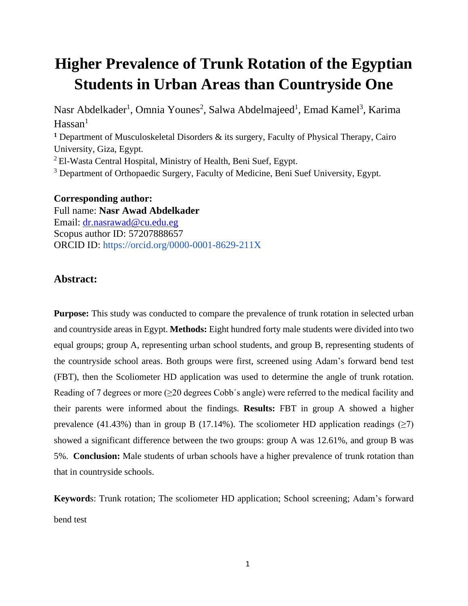# **Higher Prevalence of Trunk Rotation of the Egyptian Students in Urban Areas than Countryside One**

Nasr Abdelkader<sup>1</sup>, Omnia Younes<sup>2</sup>, Salwa Abdelmajeed<sup>1</sup>, Emad Kamel<sup>3</sup>, Karima  $Hassan<sup>1</sup>$ **<sup>1</sup>** Department of Musculoskeletal Disorders & its surgery, Faculty of Physical Therapy, Cairo University, Giza, Egypt.

 $2$ El-Wasta Central Hospital, Ministry of Health, Beni Suef, Egypt.

<sup>3</sup> Department of Orthopaedic Surgery, Faculty of Medicine, Beni Suef University, Egypt.

#### **Corresponding author:**

Full name: **Nasr Awad Abdelkader** Email: [dr.nasrawad@cu.edu.eg](mailto:dr.nasrawad@cu.edu.eg) Scopus author ID: 57207888657 ORCID ID: https://orcid.org/0000-0001-8629-211X

# **Abstract:**

**Purpose:** This study was conducted to compare the prevalence of trunk rotation in selected urban and countryside areas in Egypt. **Methods:** Eight hundred forty male students were divided into two equal groups; group A, representing urban school students, and group B, representing students of the countryside school areas. Both groups were first, screened using Adam's forward bend test (FBT), then the Scoliometer HD application was used to determine the angle of trunk rotation. Reading of 7 degrees or more  $(\geq 20$  degrees Cobb's angle) were referred to the medical facility and their parents were informed about the findings. **Results:** FBT in group A showed a higher prevalence (41.43%) than in group B (17.14%). The scoliometer HD application readings ( $\geq$ 7) showed a significant difference between the two groups: group A was 12.61%, and group B was 5%. **Conclusion:** Male students of urban schools have a higher prevalence of trunk rotation than that in countryside schools.

**Keyword**s: Trunk rotation; The scoliometer HD application; School screening; Adam's forward bend test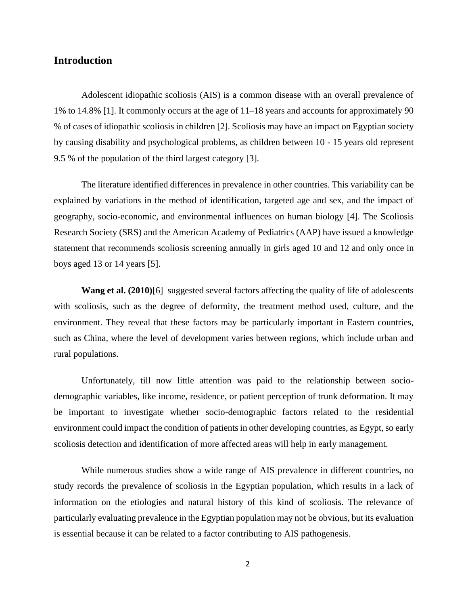## **Introduction**

Adolescent idiopathic scoliosis (AIS) is a common disease with an overall prevalence of 1% to 14.8% [1]. It commonly occurs at the age of 11–18 years and accounts for approximately 90 % of cases of idiopathic scoliosis in children [2]. Scoliosis may have an impact on Egyptian society by causing disability and psychological problems, as children between 10 - 15 years old represent 9.5 % of the population of the third largest category [3].

The literature identified differences in prevalence in other countries. This variability can be explained by variations in the method of identification, targeted age and sex, and the impact of geography, socio-economic, and environmental influences on human biology [4]. The Scoliosis Research Society (SRS) and the American Academy of Pediatrics (AAP) have issued a knowledge statement that recommends scoliosis screening annually in girls aged 10 and 12 and only once in boys aged 13 or 14 years [5].

**Wang et al. (2010)**[6] suggested several factors affecting the quality of life of adolescents with scoliosis, such as the degree of deformity, the treatment method used, culture, and the environment. They reveal that these factors may be particularly important in Eastern countries, such as China, where the level of development varies between regions, which include urban and rural populations.

Unfortunately, till now little attention was paid to the relationship between sociodemographic variables, like income, residence, or patient perception of trunk deformation. It may be important to investigate whether socio-demographic factors related to the residential environment could impact the condition of patients in other developing countries, as Egypt, so early scoliosis detection and identification of more affected areas will help in early management.

While numerous studies show a wide range of AIS prevalence in different countries, no study records the prevalence of scoliosis in the Egyptian population, which results in a lack of information on the etiologies and natural history of this kind of scoliosis. The relevance of particularly evaluating prevalence in the Egyptian population may not be obvious, but its evaluation is essential because it can be related to a factor contributing to AIS pathogenesis.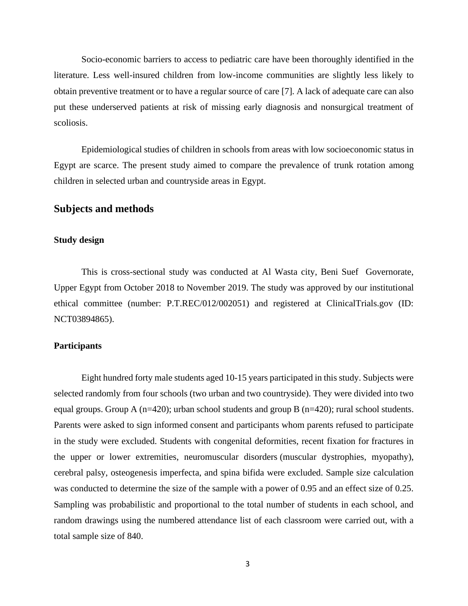Socio-economic barriers to access to pediatric care have been thoroughly identified in the literature. Less well-insured children from low-income communities are slightly less likely to obtain preventive treatment or to have a regular source of care [7]. A lack of adequate care can also put these underserved patients at risk of missing early diagnosis and nonsurgical treatment of scoliosis.

Epidemiological studies of children in schools from areas with low socioeconomic status in Egypt are scarce. The present study aimed to compare the prevalence of trunk rotation among children in selected urban and countryside areas in Egypt.

#### **Subjects and methods**

#### **Study design**

This is cross-sectional study was conducted at Al Wasta city, Beni Suef Governorate, Upper Egypt from October 2018 to November 2019. The study was approved by our institutional ethical committee (number: P.T.REC/012/002051) and registered at ClinicalTrials.gov (ID: NCT03894865).

#### **Participants**

Eight hundred forty male students aged 10-15 years participated in this study. Subjects were selected randomly from four schools (two urban and two countryside). They were divided into two equal groups. Group A (n=420); urban school students and group B (n=420); rural school students. Parents were asked to sign informed consent and participants whom parents refused to participate in the study were excluded. Students with congenital deformities, recent fixation for fractures in the upper or lower extremities, neuromuscular disorders (muscular dystrophies, myopathy), cerebral palsy, osteogenesis imperfecta, and spina bifida were excluded. Sample size calculation was conducted to determine the size of the sample with a power of 0.95 and an effect size of 0.25. Sampling was probabilistic and proportional to the total number of students in each school, and random drawings using the numbered attendance list of each classroom were carried out, with a total sample size of 840.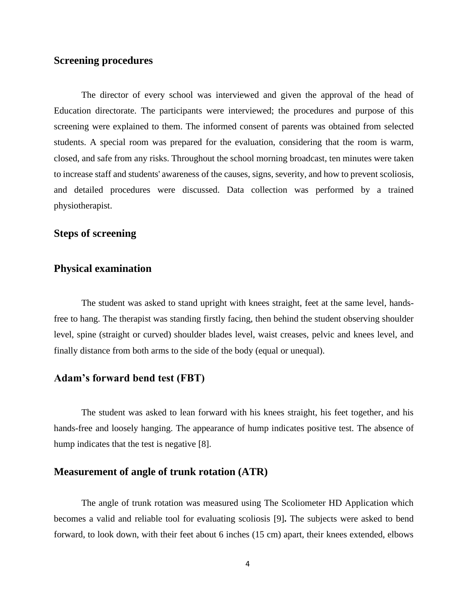# **Screening procedures**

The director of every school was interviewed and given the approval of the head of Education directorate. The participants were interviewed; the procedures and purpose of this screening were explained to them. The informed consent of parents was obtained from selected students. A special room was prepared for the evaluation, considering that the room is warm, closed, and safe from any risks. Throughout the school morning broadcast, ten minutes were taken to increase staff and students' awareness of the causes, signs, severity, and how to prevent scoliosis, and detailed procedures were discussed. Data collection was performed by a trained physiotherapist.

# **Steps of screening**

# **Physical examination**

The student was asked to stand upright with knees straight, feet at the same level, handsfree to hang. The therapist was standing firstly facing, then behind the student observing shoulder level, spine (straight or curved) shoulder blades level, waist creases, pelvic and knees level, and finally distance from both arms to the side of the body (equal or unequal).

# **Adam's forward bend test (FBT)**

The student was asked to lean forward with his knees straight, his feet together, and his hands-free and loosely hanging. The appearance of hump indicates positive test. The absence of hump indicates that the test is negative [8].

## **Measurement of angle of trunk rotation (ATR)**

The angle of trunk rotation was measured using The Scoliometer HD Application which becomes a valid and reliable tool for evaluating scoliosis [9]**.** The subjects were asked to bend forward, to look down, with their feet about 6 inches (15 cm) apart, their knees extended, elbows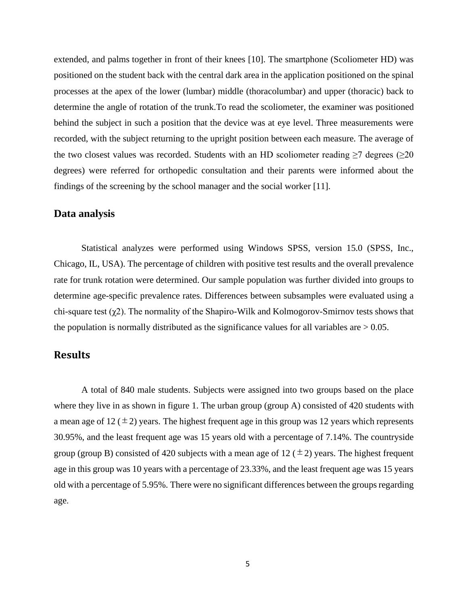extended, and palms together in front of their knees [10]. The smartphone (Scoliometer HD) was positioned on the student back with the central dark area in the application positioned on the spinal processes at the apex of the lower (lumbar) middle (thoracolumbar) and upper (thoracic) back to determine the angle of rotation of the trunk.To read the scoliometer, the examiner was positioned behind the subject in such a position that the device was at eye level. Three measurements were recorded, with the subject returning to the upright position between each measure. The average of the two closest values was recorded. Students with an HD scoliometer reading  $\geq 7$  degrees ( $\geq 20$ ) degrees) were referred for orthopedic consultation and their parents were informed about the findings of the screening by the school manager and the social worker [11].

## **Data analysis**

Statistical analyzes were performed using Windows SPSS, version 15.0 (SPSS, Inc., Chicago, IL, USA). The percentage of children with positive test results and the overall prevalence rate for trunk rotation were determined. Our sample population was further divided into groups to determine age-specific prevalence rates. Differences between subsamples were evaluated using a chi-square test  $(\chi^2)$ . The normality of the Shapiro-Wilk and Kolmogorov-Smirnov tests shows that the population is normally distributed as the significance values for all variables are  $> 0.05$ .

# **Results**

A total of 840 male students. Subjects were assigned into two groups based on the place where they live in as shown in figure 1. The urban group (group A) consisted of 420 students with a mean age of  $12 (\pm 2)$  years. The highest frequent age in this group was 12 years which represents 30.95%, and the least frequent age was 15 years old with a percentage of 7.14%. The countryside group (group B) consisted of 420 subjects with a mean age of 12 ( $\pm$ 2) years. The highest frequent age in this group was 10 years with a percentage of 23.33%, and the least frequent age was 15 years old with a percentage of 5.95%. There were no significant differences between the groups regarding age.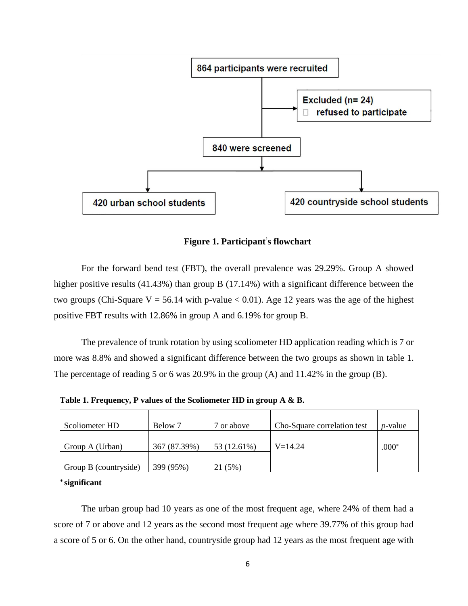

**Figure 1. Participant' s flowchart**

For the forward bend test (FBT), the overall prevalence was 29.29%. Group A showed higher positive results (41.43%) than group B (17.14%) with a significant difference between the two groups (Chi-Square V = 56.14 with p-value  $< 0.01$ ). Age 12 years was the age of the highest positive FBT results with 12.86% in group A and 6.19% for group B.

The prevalence of trunk rotation by using scoliometer HD application reading which is 7 or more was 8.8% and showed a significant difference between the two groups as shown in table 1. The percentage of reading 5 or 6 was 20.9% in the group (A) and 11.42% in the group (B).

**Table 1. Frequency, P values of the Scoliometer HD in group A & B.**

| Scoliometer HD        | Below 7      | or above    | Cho-Square correlation test | <i>p</i> -value |
|-----------------------|--------------|-------------|-----------------------------|-----------------|
| Group A (Urban)       | 367 (87.39%) | 53 (12.61%) | $V = 14.24$                 | $.000*$         |
| Group B (countryside) | 399 (95%)    | (5%)        |                             |                 |

**significant**

The urban group had 10 years as one of the most frequent age, where 24% of them had a score of 7 or above and 12 years as the second most frequent age where 39.77% of this group had a score of 5 or 6. On the other hand, countryside group had 12 years as the most frequent age with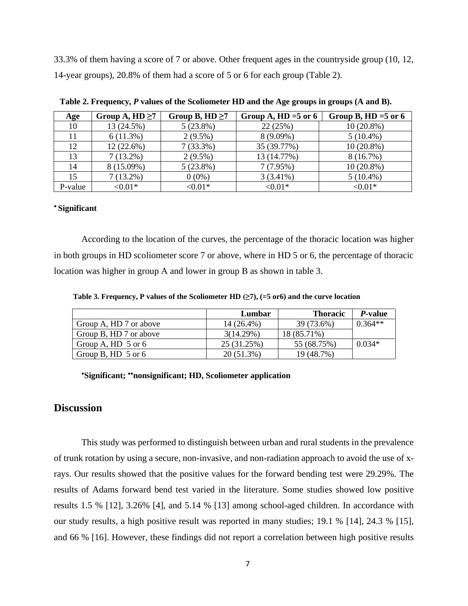33.3% of them having a score of 7 or above. Other frequent ages in the countryside group (10, 12, 14-year groups), 20.8% of them had a score of 5 or 6 for each group (Table 2).

| Age     | Group A, $HD \ge 7$ | Group B, $HD \ge 7$ | Group A, HD = $5$ or 6 | Group B, HD = $5$ or 6 |
|---------|---------------------|---------------------|------------------------|------------------------|
| 10      | 13 (24.5%)          | $5(23.8\%)$         | 22(25%)                | $10(20.8\%)$           |
| 11      | 6(11.3%)            | $2(9.5\%)$          | $8(9.09\%)$            | $5(10.4\%)$            |
| 12      | $12(22.6\%)$        | $7(33.3\%)$         | 35 (39.77%)            | $10(20.8\%)$           |
| 13      | $7(13.2\%)$         | $2(9.5\%)$          | 13 (14.77%)            | 8(16.7%)               |
| 14      | 8 (15.09%)          | $5(23.8\%)$         | 7(7.95%)               | $10(20.8\%)$           |
| 15      | $7(13.2\%)$         | $0(0\%)$            | $3(3.41\%)$            | $5(10.4\%)$            |
| P-value | $< 0.01*$           | $< 0.01*$           | ${<}0.01*$             | ${<}0.01*$             |

**Table 2. Frequency,** *P* **values of the Scoliometer HD and the Age groups in groups (A and B).**

#### **Significant**

According to the location of the curves, the percentage of the thoracic location was higher in both groups in HD scoliometer score 7 or above, where in HD 5 or 6, the percentage of thoracic location was higher in group A and lower in group B as shown in table 3.

 **Table 3. Frequency, P values of the Scoliometer HD (≥7), (=5 or6) and the curve location** 

|                        | Lumbar      | <b>Thoracic</b> | <i>P</i> -value |
|------------------------|-------------|-----------------|-----------------|
| Group A, HD 7 or above | 14 (26.4%)  | 39 (73.6%)      | $0.364**$       |
| Group B, HD 7 or above | 3(14.29%)   | 18 (85.71%)     |                 |
| Group A, HD $\,5$ or 6 | 25 (31.25%) | 55 (68.75%)     | $0.034*$        |
| Group B, HD $\,5$ or 6 | 20 (51.3%)  | 19 (48.7%)      |                 |

**Significant; nonsignificant; HD, Scoliometer application**

### **Discussion**

This study was performed to distinguish between urban and rural students in the prevalence of trunk rotation by using a secure, non-invasive, and non-radiation approach to avoid the use of xrays. Our results showed that the positive values for the forward bending test were 29.29%. The results of Adams forward bend test varied in the literature. Some studies showed low positive results 1.5 % [12], 3.26% [4], and 5.14 % [13] among school-aged children. In accordance with our study results, a high positive result was reported in many studies; 19.1 % [14], 24.3 % [15], and 66 % [16]. However, these findings did not report a correlation between high positive results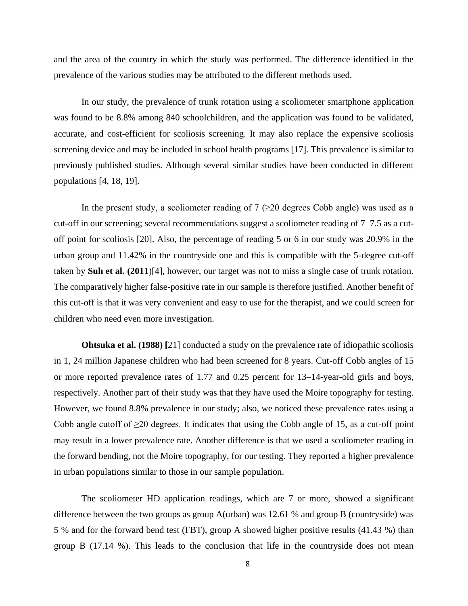and the area of the country in which the study was performed. The difference identified in the prevalence of the various studies may be attributed to the different methods used.

In our study, the prevalence of trunk rotation using a scoliometer smartphone application was found to be 8.8% among 840 schoolchildren, and the application was found to be validated, accurate, and cost-efficient for scoliosis screening. It may also replace the expensive scoliosis screening device and may be included in school health programs [17]. This prevalence is similar to previously published studies. Although several similar studies have been conducted in different populations [4, 18, 19].

In the present study, a scoliometer reading of  $7$  ( $\geq$ 20 degrees Cobb angle) was used as a cut-off in our screening; several recommendations suggest a scoliometer reading of 7–7.5 as a cutoff point for scoliosis [20]. Also, the percentage of reading 5 or 6 in our study was 20.9% in the urban group and 11.42% in the countryside one and this is compatible with the 5-degree cut-off taken by **Suh et al. (2011**)[4], however, our target was not to miss a single case of trunk rotation. The comparatively higher false-positive rate in our sample is therefore justified. Another benefit of this cut-off is that it was very convenient and easy to use for the therapist, and we could screen for children who need even more investigation.

**Ohtsuka et al. (1988)** [21] conducted a study on the prevalence rate of idiopathic scoliosis in 1, 24 million Japanese children who had been screened for 8 years. Cut-off Cobb angles of 15 or more reported prevalence rates of 1.77 and 0.25 percent for 13–14-year-old girls and boys, respectively. Another part of their study was that they have used the Moire topography for testing. However, we found 8.8% prevalence in our study; also, we noticed these prevalence rates using a Cobb angle cutoff of ≥20 degrees. It indicates that using the Cobb angle of 15, as a cut-off point may result in a lower prevalence rate. Another difference is that we used a scoliometer reading in the forward bending, not the Moire topography, for our testing. They reported a higher prevalence in urban populations similar to those in our sample population.

The scoliometer HD application readings, which are 7 or more, showed a significant difference between the two groups as group A(urban) was 12.61 % and group B (countryside) was 5 % and for the forward bend test (FBT), group A showed higher positive results (41.43 %) than group B (17.14 %). This leads to the conclusion that life in the countryside does not mean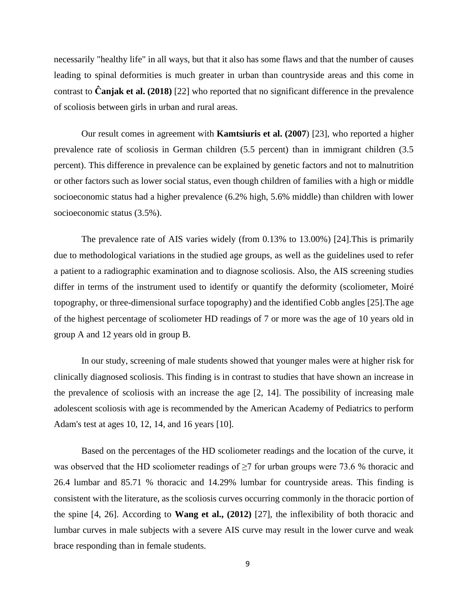necessarily "healthy life" in all ways, but that it also has some flaws and that the number of causes leading to spinal deformities is much greater in urban than countryside areas and this come in contrast to **Ĉanjak et al. (2018)** [22] who reported that no significant difference in the prevalence of scoliosis between girls in urban and rural areas.

Our result comes in agreement with **Kamtsiuris et al. (2007**) [23], who reported a higher prevalence rate of scoliosis in German children (5.5 percent) than in immigrant children (3.5 percent). This difference in prevalence can be explained by genetic factors and not to malnutrition or other factors such as lower social status, even though children of families with a high or middle socioeconomic status had a higher prevalence (6.2% high, 5.6% middle) than children with lower socioeconomic status (3.5%).

The prevalence rate of AIS varies widely (from 0.13% to 13.00%) [24].This is primarily due to methodological variations in the studied age groups, as well as the guidelines used to refer a patient to a radiographic examination and to diagnose scoliosis. Also, the AIS screening studies differ in terms of the instrument used to identify or quantify the deformity (scoliometer, Moiré topography, or three-dimensional surface topography) and the identified Cobb angles [25].The age of the highest percentage of scoliometer HD readings of 7 or more was the age of 10 years old in group A and 12 years old in group B.

In our study, screening of male students showed that younger males were at higher risk for clinically diagnosed scoliosis. This finding is in contrast to studies that have shown an increase in the prevalence of scoliosis with an increase the age [2, 14]. The possibility of increasing male adolescent scoliosis with age is recommended by the American Academy of Pediatrics to perform Adam's test at ages 10, 12, 14, and 16 years [10].

Based on the percentages of the HD scoliometer readings and the location of the curve, it was observed that the HD scoliometer readings of  $\geq$ 7 for urban groups were 73.6 % thoracic and 26.4 lumbar and 85.71 % thoracic and 14.29% lumbar for countryside areas. This finding is consistent with the literature, as the scoliosis curves occurring commonly in the thoracic portion of the spine [4, 26]. According to **Wang et al., (2012)** [27], the inflexibility of both thoracic and lumbar curves in male subjects with a severe AIS curve may result in the lower curve and weak brace responding than in female students.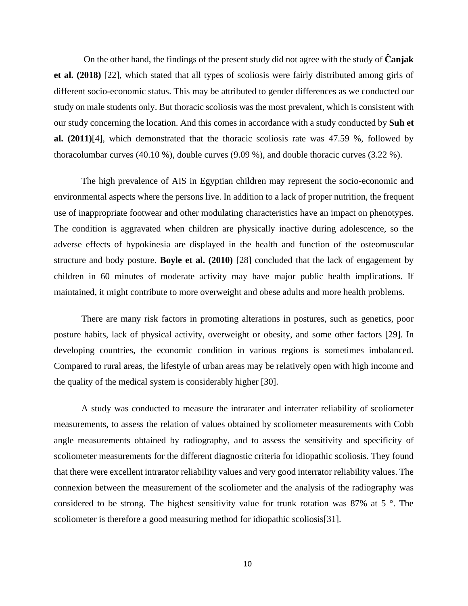On the other hand, the findings of the present study did not agree with the study of **Ĉanjak et al. (2018)** [22], which stated that all types of scoliosis were fairly distributed among girls of different socio-economic status. This may be attributed to gender differences as we conducted our study on male students only. But thoracic scoliosis was the most prevalent, which is consistent with our study concerning the location. And this comes in accordance with a study conducted by **Suh et al. (2011)**[4], which demonstrated that the thoracic scoliosis rate was 47.59 %, followed by thoracolumbar curves (40.10 %), double curves (9.09 %), and double thoracic curves (3.22 %).

The high prevalence of AIS in Egyptian children may represent the socio-economic and environmental aspects where the persons live. In addition to a lack of proper nutrition, the frequent use of inappropriate footwear and other modulating characteristics have an impact on phenotypes. The condition is aggravated when children are physically inactive during adolescence, so the adverse effects of hypokinesia are displayed in the health and function of the osteomuscular structure and body posture. **Boyle et al. (2010)** [28] concluded that the lack of engagement by children in 60 minutes of moderate activity may have major public health implications. If maintained, it might contribute to more overweight and obese adults and more health problems.

There are many risk factors in promoting alterations in postures, such as genetics, poor posture habits, lack of physical activity, overweight or obesity, and some other factors [29]. In developing countries, the economic condition in various regions is sometimes imbalanced. Compared to rural areas, the lifestyle of urban areas may be relatively open with high income and the quality of the medical system is considerably higher [30].

A study was conducted to measure the intrarater and interrater reliability of scoliometer measurements, to assess the relation of values obtained by scoliometer measurements with Cobb angle measurements obtained by radiography, and to assess the sensitivity and specificity of scoliometer measurements for the different diagnostic criteria for idiopathic scoliosis. They found that there were excellent intrarator reliability values and very good interrator reliability values. The connexion between the measurement of the scoliometer and the analysis of the radiography was considered to be strong. The highest sensitivity value for trunk rotation was 87% at 5 °. The scoliometer is therefore a good measuring method for idiopathic scoliosis[31].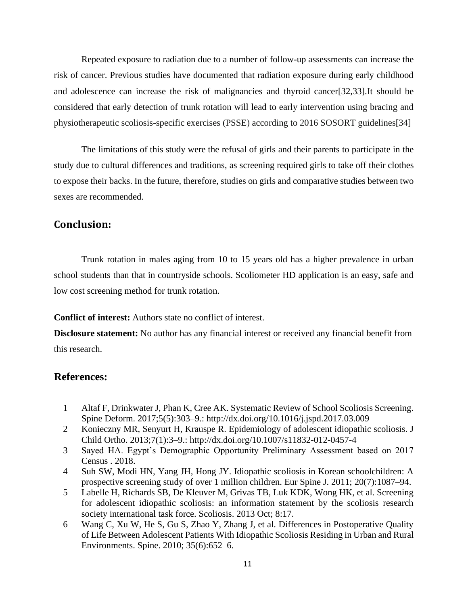Repeated exposure to radiation due to a number of follow-up assessments can increase the risk of cancer. Previous studies have documented that radiation exposure during early childhood and adolescence can increase the risk of malignancies and thyroid cancer[32,33].It should be considered that early detection of trunk rotation will lead to early intervention using bracing and physiotherapeutic scoliosis-specific exercises (PSSE) according to 2016 SOSORT guidelines[34]

The limitations of this study were the refusal of girls and their parents to participate in the study due to cultural differences and traditions, as screening required girls to take off their clothes to expose their backs. In the future, therefore, studies on girls and comparative studies between two sexes are recommended.

# **Conclusion:**

Trunk rotation in males aging from 10 to 15 years old has a higher prevalence in urban school students than that in countryside schools. Scoliometer HD application is an easy, safe and low cost screening method for trunk rotation.

**Conflict of interest:** Authors state no conflict of interest.

**Disclosure statement:** No author has any financial interest or received any financial benefit from this research.

# **References:**

- 1 Altaf F, Drinkwater J, Phan K, Cree AK. Systematic Review of School Scoliosis Screening. Spine Deform. 2017;5(5):303–9.: http://dx.doi.org/10.1016/j.jspd.2017.03.009
- 2 Konieczny MR, Senyurt H, Krauspe R. Epidemiology of adolescent idiopathic scoliosis. J Child Ortho. 2013;7(1):3–9.: http://dx.doi.org/10.1007/s11832-012-0457-4
- 3 Sayed HA. Egypt's Demographic Opportunity Preliminary Assessment based on 2017 Census . 2018.
- 4 Suh SW, Modi HN, Yang JH, Hong JY. Idiopathic scoliosis in Korean schoolchildren: A prospective screening study of over 1 million children. Eur Spine J. 2011; 20(7):1087–94.
- 5 Labelle H, Richards SB, De Kleuver M, Grivas TB, Luk KDK, Wong HK, et al. Screening for adolescent idiopathic scoliosis: an information statement by the scoliosis research society international task force. Scoliosis. 2013 Oct; 8:17.
- 6 Wang C, Xu W, He S, Gu S, Zhao Y, Zhang J, et al. Differences in Postoperative Quality of Life Between Adolescent Patients With Idiopathic Scoliosis Residing in Urban and Rural Environments. Spine. 2010; 35(6):652–6.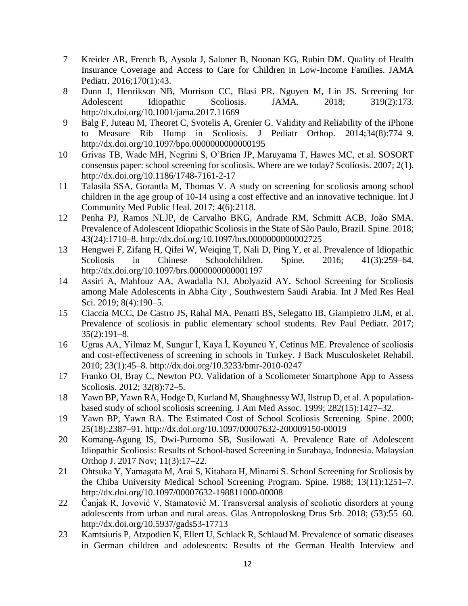- 7 Kreider AR, French B, Aysola J, Saloner B, Noonan KG, Rubin DM. Quality of Health Insurance Coverage and Access to Care for Children in Low-Income Families. JAMA Pediatr. 2016;170(1):43.
- 8 Dunn J, Henrikson NB, Morrison CC, Blasi PR, Nguyen M, Lin JS. Screening for Adolescent Idiopathic Scoliosis. JAMA. 2018; 319(2):173. http://dx.doi.org/10.1001/jama.2017.11669
- 9 Balg F, Juteau M, Theoret C, Svotelis A, Grenier G. Validity and Reliability of the iPhone to Measure Rib Hump in Scoliosis. J Pediatr Orthop. 2014;34(8):774–9. http://dx.doi.org/10.1097/bpo.0000000000000195
- 10 Grivas TB, Wade MH, Negrini S, O'Brien JP, Maruyama T, Hawes MC, et al. SOSORT consensus paper: school screening for scoliosis. Where are we today? Scoliosis. 2007; 2(1). http://dx.doi.org/10.1186/1748-7161-2-17
- 11 Talasila SSA, Gorantla M, Thomas V. A study on screening for scoliosis among school children in the age group of 10-14 using a cost effective and an innovative technique. Int J Community Med Public Heal. 2017; 4(6):2118.
- 12 Penha PJ, Ramos NLJP, de Carvalho BKG, Andrade RM, Schmitt ACB, João SMA. Prevalence of Adolescent Idiopathic Scoliosis in the State of São Paulo, Brazil. Spine. 2018; 43(24):1710–8. http://dx.doi.org/10.1097/brs.0000000000002725
- 13 Hengwei F, Zifang H, Qifei W, Weiqing T, Nali D, Ping Y, et al. Prevalence of Idiopathic Scoliosis in Chinese Schoolchildren. Spine. 2016; 41(3):259–64. http://dx.doi.org/10.1097/brs.0000000000001197
- 14 Assiri A, Mahfouz AA, Awadalla NJ, Abolyazid AY. School Screening for Scoliosis among Male Adolescents in Abha City , Southwestern Saudi Arabia. Int J Med Res Heal Sci. 2019; 8(4):190–5.
- 15 Ciaccia MCC, De Castro JS, Rahal MA, Penatti BS, Selegatto IB, Giampietro JLM, et al. Prevalence of scoliosis in public elementary school students. Rev Paul Pediatr. 2017; 35(2):191–8.
- 16 Ugras AA, Yilmaz M, Sungur İ, Kaya İ, Koyuncu Y, Cetinus ME. Prevalence of scoliosis and cost-effectiveness of screening in schools in Turkey. J Back Musculoskelet Rehabil. 2010; 23(1):45–8. http://dx.doi.org/10.3233/bmr-2010-0247
- 17 Franko OI, Bray C, Newton PO. Validation of a Scoliometer Smartphone App to Assess Scoliosis. 2012; 32(8):72–5.
- 18 Yawn BP, Yawn RA, Hodge D, Kurland M, Shaughnessy WJ, Ilstrup D, et al. A populationbased study of school scoliosis screening. J Am Med Assoc. 1999; 282(15):1427–32.
- 19 Yawn BP, Yawn RA. The Estimated Cost of School Scoliosis Screening. Spine. 2000; 25(18):2387–91. http://dx.doi.org/10.1097/00007632-200009150-00019
- 20 Komang-Agung IS, Dwi-Purnomo SB, Susilowati A. Prevalence Rate of Adolescent Idiopathic Scoliosis: Results of School-based Screening in Surabaya, Indonesia. Malaysian Orthop J. 2017 Nov; 11(3):17–22.
- 21 Ohtsuka Y, Yamagata M, Arai S, Kitahara H, Minami S. School Screening for Scoliosis by the Chiba University Medical School Screening Program. Spine. 1988; 13(11):1251–7. http://dx.doi.org/10.1097/00007632-198811000-00008
- 22 Čanjak R, Jovović V, Stamatović M. Transversal analysis of scoliotic disorders at young adolescents from urban and rural areas. Glas Antropoloskog Drus Srb. 2018; (53):55–60. http://dx.doi.org/10.5937/gads53-17713
- 23 Kamtsiuris P, Atzpodien K, Ellert U, Schlack R, Schlaud M. Prevalence of somatic diseases in German children and adolescents: Results of the German Health Interview and